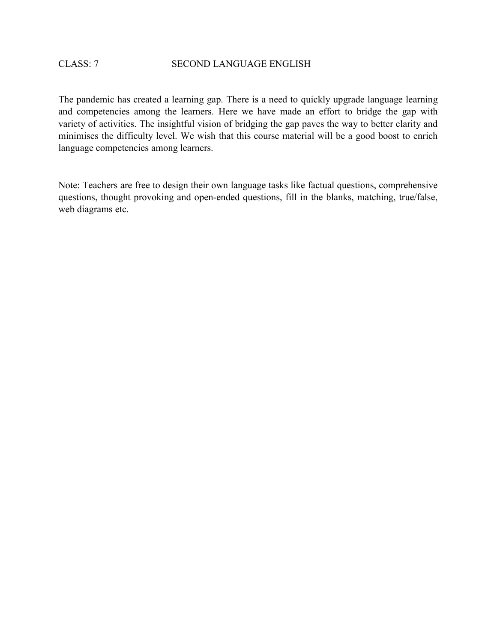The pandemic has created a learning gap. There is a need to quickly upgrade language learning and competencies among the learners. Here we have made an effort to bridge the gap with variety of activities. The insightful vision of bridging the gap paves the way to better clarity and minimises the difficulty level. We wish that this course material will be a good boost to enrich language competencies among learners.

Note: Teachers are free to design their own language tasks like factual questions, comprehensive questions, thought provoking and open-ended questions, fill in the blanks, matching, true/false, web diagrams etc.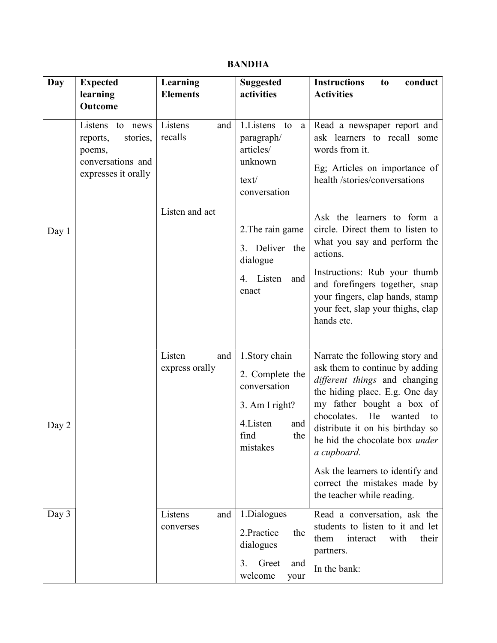## BANDHA

| Day   | <b>Expected</b>                                                                                     | Learning                                    | <b>Suggested</b>                                                                                                                                                       | <b>Instructions</b><br>conduct<br>t <sub>0</sub>                                                                                                                                                                                                                                                                                                                                                                     |
|-------|-----------------------------------------------------------------------------------------------------|---------------------------------------------|------------------------------------------------------------------------------------------------------------------------------------------------------------------------|----------------------------------------------------------------------------------------------------------------------------------------------------------------------------------------------------------------------------------------------------------------------------------------------------------------------------------------------------------------------------------------------------------------------|
|       | learning                                                                                            | <b>Elements</b>                             | activities                                                                                                                                                             | <b>Activities</b>                                                                                                                                                                                                                                                                                                                                                                                                    |
|       | <b>Outcome</b>                                                                                      |                                             |                                                                                                                                                                        |                                                                                                                                                                                                                                                                                                                                                                                                                      |
| Day 1 | Listens<br>to<br>news<br>reports,<br>stories,<br>poems,<br>conversations and<br>expresses it orally | Listens<br>and<br>recalls<br>Listen and act | 1. Listens<br>to<br>a<br>paragraph/<br>articles/<br>unknown<br>text/<br>conversation<br>2. The rain game<br>3. Deliver the<br>dialogue<br>Listen<br>and<br>4.<br>enact | Read a newspaper report and<br>ask learners to recall some<br>words from it.<br>Eg; Articles on importance of<br>health /stories/conversations<br>Ask the learners to form a<br>circle. Direct them to listen to<br>what you say and perform the<br>actions.<br>Instructions: Rub your thumb<br>and forefingers together, snap<br>your fingers, clap hands, stamp<br>your feet, slap your thighs, clap<br>hands etc. |
| Day 2 |                                                                                                     | Listen<br>and<br>express orally             | 1.Story chain<br>2. Complete the<br>conversation<br>3. Am I right?<br>4. Listen<br>and<br>find<br>the<br>mistakes                                                      | Narrate the following story and<br>ask them to continue by adding<br>different things and changing<br>the hiding place. E.g. One day<br>my father bought a box of<br>He<br>chocolates.<br>wanted<br>to<br>distribute it on his birthday so<br>he hid the chocolate box under<br>a cupboard.<br>Ask the learners to identify and<br>correct the mistakes made by<br>the teacher while reading.                        |
| Day 3 |                                                                                                     | Listens<br>and<br>converses                 | 1.Dialogues<br>2.Practice<br>the<br>dialogues<br>3.<br>Greet<br>and<br>welcome<br>your                                                                                 | Read a conversation, ask the<br>students to listen to it and let<br>them<br>with<br>their<br>interact<br>partners.<br>In the bank:                                                                                                                                                                                                                                                                                   |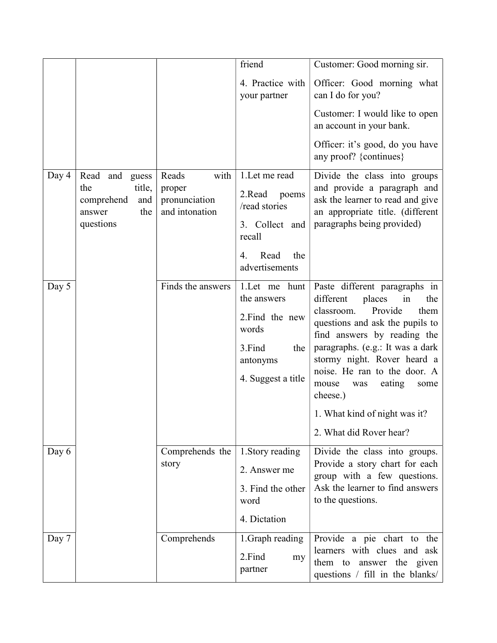|       |                                                                                       |                                                            | friend                                                                                                                | Customer: Good morning sir.                                                                                                                                                                                                                                                                                                                                                       |
|-------|---------------------------------------------------------------------------------------|------------------------------------------------------------|-----------------------------------------------------------------------------------------------------------------------|-----------------------------------------------------------------------------------------------------------------------------------------------------------------------------------------------------------------------------------------------------------------------------------------------------------------------------------------------------------------------------------|
|       |                                                                                       |                                                            | 4. Practice with<br>your partner                                                                                      | Officer: Good morning what<br>can I do for you?                                                                                                                                                                                                                                                                                                                                   |
|       |                                                                                       |                                                            |                                                                                                                       | Customer: I would like to open<br>an account in your bank.                                                                                                                                                                                                                                                                                                                        |
|       |                                                                                       |                                                            |                                                                                                                       | Officer: it's good, do you have<br>any proof? {continues}                                                                                                                                                                                                                                                                                                                         |
| Day 4 | Read and<br>guess<br>title,<br>the<br>comprehend<br>and<br>the<br>answer<br>questions | with<br>Reads<br>proper<br>pronunciation<br>and intonation | 1. Let me read<br>2.Read<br>poems<br>/read stories<br>3. Collect and<br>recall<br>Read<br>the<br>4.<br>advertisements | Divide the class into groups<br>and provide a paragraph and<br>ask the learner to read and give<br>an appropriate title. (different<br>paragraphs being provided)                                                                                                                                                                                                                 |
| Day 5 |                                                                                       | Finds the answers                                          | 1.Let me hunt<br>the answers<br>2. Find the new<br>words<br>3.Find<br>the<br>antonyms<br>4. Suggest a title           | Paste different paragraphs in<br>places<br>different<br>in<br>the<br>Provide<br>them<br>classroom.<br>questions and ask the pupils to<br>find answers by reading the<br>paragraphs. (e.g.: It was a dark<br>stormy night. Rover heard a<br>noise. He ran to the door. A<br>eating<br>mouse<br>was<br>some<br>cheese.)<br>1. What kind of night was it?<br>2. What did Rover hear? |
| Day 6 |                                                                                       | Comprehends the<br>story                                   | 1. Story reading<br>2. Answer me<br>3. Find the other<br>word<br>4. Dictation                                         | Divide the class into groups.<br>Provide a story chart for each<br>group with a few questions.<br>Ask the learner to find answers<br>to the questions.                                                                                                                                                                                                                            |
| Day 7 |                                                                                       | Comprehends                                                | 1. Graph reading<br>2.Find<br>my<br>partner                                                                           | Provide a pie chart to the<br>learners with clues and ask<br>them to answer the given<br>questions / fill in the blanks/                                                                                                                                                                                                                                                          |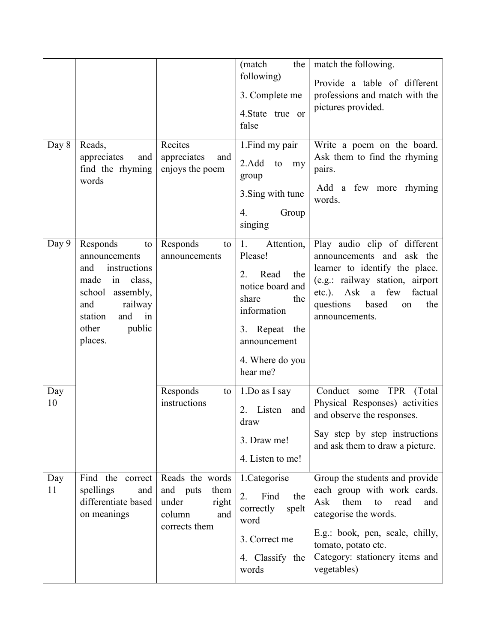| Day 8     | Reads,<br>appreciates<br>and<br>find the rhyming<br>words                                                                                                                  | Recites<br>appreciates<br>and<br>enjoys the poem                                        | (match<br>the<br>following)<br>3. Complete me<br>4. State true or<br>false<br>1. Find my pair<br>2.Add<br>to<br>my<br>group                                         | match the following.<br>Provide a table of different<br>professions and match with the<br>pictures provided.<br>Write a poem on the board.<br>Ask them to find the rhyming<br>pairs.                                                  |
|-----------|----------------------------------------------------------------------------------------------------------------------------------------------------------------------------|-----------------------------------------------------------------------------------------|---------------------------------------------------------------------------------------------------------------------------------------------------------------------|---------------------------------------------------------------------------------------------------------------------------------------------------------------------------------------------------------------------------------------|
|           |                                                                                                                                                                            |                                                                                         | 3. Sing with tune<br>4.<br>Group<br>singing                                                                                                                         | Add a few more rhyming<br>words.                                                                                                                                                                                                      |
| Day 9     | Responds<br>to<br>announcements<br>instructions<br>and<br>made<br>in<br>class,<br>school assembly,<br>railway<br>and<br>and<br>station<br>in<br>public<br>other<br>places. | Responds<br>to<br>announcements                                                         | 1.<br>Attention,<br>Please!<br>Read<br>2.<br>the<br>notice board and<br>share<br>the<br>information<br>3. Repeat the<br>announcement<br>4. Where do you<br>hear me? | Play audio clip of different<br>announcements and ask the<br>learner to identify the place.<br>(e.g.: railway station, airport<br>etc.).<br>Ask a few<br>factual<br>questions<br>based<br>the<br>on<br>announcements.                 |
| Day<br>10 |                                                                                                                                                                            | Responds<br>to<br>instructions                                                          | 1.Do as I say<br>Listen and<br>2.<br>draw<br>3. Draw me!<br>4. Listen to me!                                                                                        | Conduct some<br>TPR (Total<br>Physical Responses) activities<br>and observe the responses.<br>Say step by step instructions<br>and ask them to draw a picture.                                                                        |
| Day<br>11 | Find the correct<br>spellings<br>and<br>differentiate based<br>on meanings                                                                                                 | Reads the words<br>and puts<br>them<br>under<br>right<br>column<br>and<br>corrects them | 1.Categorise<br>2.<br>Find<br>the<br>correctly<br>spelt<br>word<br>3. Correct me<br>4. Classify the<br>words                                                        | Group the students and provide<br>each group with work cards.<br>them<br>Ask<br>read<br>to<br>and<br>categorise the words.<br>E.g.: book, pen, scale, chilly,<br>tomato, potato etc.<br>Category: stationery items and<br>vegetables) |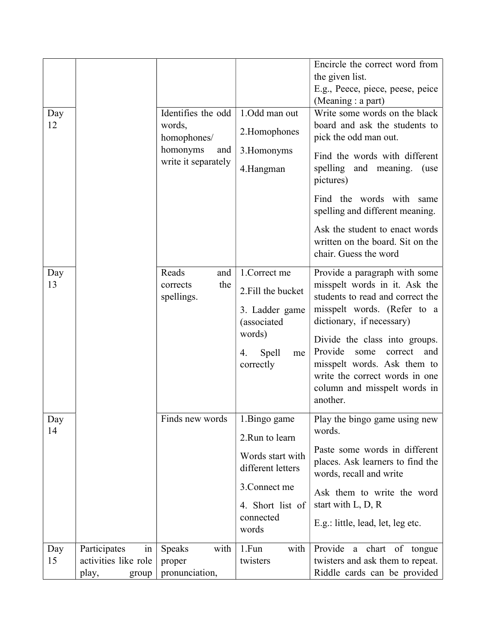|     |                      |                               |                                       | Encircle the correct word from                                                               |
|-----|----------------------|-------------------------------|---------------------------------------|----------------------------------------------------------------------------------------------|
|     |                      |                               |                                       | the given list.                                                                              |
|     |                      |                               |                                       | E.g., Peece, piece, peese, peice<br>(Meaning : a part)                                       |
| Day |                      | Identifies the odd            | 1.Odd man out                         | Write some words on the black                                                                |
| 12  |                      | words,<br>homophones/         | 2.Homophones                          | board and ask the students to<br>pick the odd man out.                                       |
|     |                      | homonyms<br>and               | 3. Homonyms                           | Find the words with different                                                                |
|     |                      | write it separately           | 4.Hangman                             | spelling and meaning. (use<br>pictures)                                                      |
|     |                      |                               |                                       | Find the words with same<br>spelling and different meaning.                                  |
|     |                      |                               |                                       | Ask the student to enact words<br>written on the board. Sit on the<br>chair. Guess the word  |
| Day |                      | Reads<br>and                  | 1. Correct me                         | Provide a paragraph with some                                                                |
| 13  |                      | the<br>corrects<br>spellings. | 2. Fill the bucket                    | misspelt words in it. Ask the<br>students to read and correct the                            |
|     |                      |                               | 3. Ladder game<br>(associated         | misspelt words. (Refer to a<br>dictionary, if necessary)                                     |
|     |                      |                               | words)                                | Divide the class into groups.                                                                |
|     |                      |                               | Spell<br>4.<br>me                     | Provide<br>some<br>correct<br>and                                                            |
|     |                      |                               | correctly                             | misspelt words. Ask them to<br>write the correct words in one                                |
|     |                      |                               |                                       | column and misspelt words in                                                                 |
|     |                      |                               |                                       | another.                                                                                     |
| Day |                      | Finds new words               | 1.Bingo game                          | Play the bingo game using new                                                                |
| 14  |                      |                               | 2.Run to learn                        | words.                                                                                       |
|     |                      |                               | Words start with<br>different letters | Paste some words in different<br>places. Ask learners to find the<br>words, recall and write |
|     |                      |                               | 3. Connect me                         | Ask them to write the word                                                                   |
|     |                      |                               | 4. Short list of                      | start with L, D, R                                                                           |
|     |                      |                               | connected<br>words                    | E.g.: little, lead, let, leg etc.                                                            |
| Day | Participates<br>in   | with<br><b>Speaks</b>         | with<br>1.Fun                         | Provide<br>chart of tongue<br>a                                                              |
| 15  | activities like role | proper                        | twisters                              | twisters and ask them to repeat.                                                             |
|     | play,<br>group       | pronunciation,                |                                       | Riddle cards can be provided                                                                 |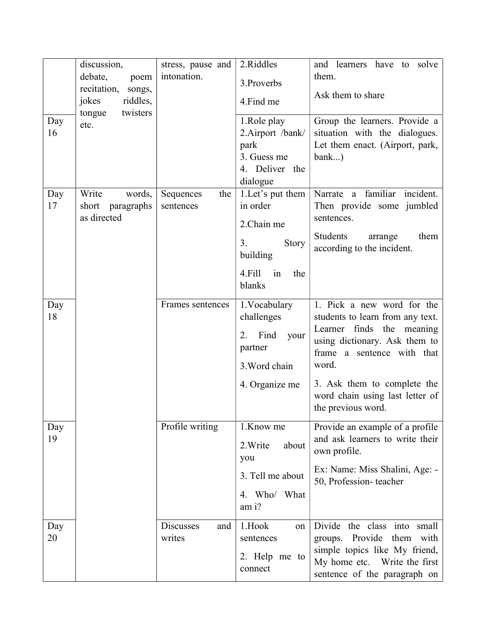|     | discussion,                                                      | stress, pause and | 2.Riddles           | and learners have to solve                                    |
|-----|------------------------------------------------------------------|-------------------|---------------------|---------------------------------------------------------------|
|     | debate,<br>poem                                                  | intonation.       | 3. Proverbs         | them.                                                         |
|     | recitation,<br>songs,<br>jokes<br>riddles,<br>twisters<br>tongue |                   | 4.Find me           | Ask them to share                                             |
| Day | etc.                                                             |                   | 1.Role play         | Group the learners. Provide a                                 |
| 16  |                                                                  |                   | 2.Airport /bank/    | situation with the dialogues.                                 |
|     |                                                                  |                   | park                | Let them enact. (Airport, park,                               |
|     |                                                                  |                   | 3. Guess me         | $bank$ )                                                      |
|     |                                                                  |                   | 4. Deliver the      |                                                               |
|     |                                                                  |                   | dialogue            |                                                               |
| Day | Write<br>words,                                                  | Sequences<br>the  | 1.Let's put them    | Narrate a familiar<br>incident.                               |
| 17  | short<br>paragraphs                                              | sentences         | in order            | Then provide some jumbled                                     |
|     | as directed                                                      |                   | 2.Chain me          | sentences.                                                    |
|     |                                                                  |                   | 3.<br>Story         | Students<br>them<br>arrange                                   |
|     |                                                                  |                   | building            | according to the incident.                                    |
|     |                                                                  |                   | 4.Fill<br>the<br>in |                                                               |
|     |                                                                  |                   | blanks              |                                                               |
|     |                                                                  |                   |                     |                                                               |
| Day |                                                                  | Frames sentences  | 1. Vocabulary       | 1. Pick a new word for the                                    |
| 18  |                                                                  |                   | challenges          | students to learn from any text.<br>Learner finds the meaning |
|     |                                                                  |                   | Find<br>2.<br>your  | using dictionary. Ask them to                                 |
|     |                                                                  |                   | partner             | frame a sentence with that                                    |
|     |                                                                  |                   | 3. Word chain       | word.                                                         |
|     |                                                                  |                   |                     |                                                               |
|     |                                                                  |                   | 4. Organize me      | 3. Ask them to complete the                                   |
|     |                                                                  |                   |                     | word chain using last letter of                               |
|     |                                                                  |                   |                     | the previous word.                                            |
| Day |                                                                  | Profile writing   | 1.Know me           | Provide an example of a profile                               |
| 19  |                                                                  |                   | 2. Write<br>about   | and ask learners to write their                               |
|     |                                                                  |                   | you                 | own profile.                                                  |
|     |                                                                  |                   | 3. Tell me about    | Ex: Name: Miss Shalini, Age: -<br>50, Profession-teacher      |
|     |                                                                  |                   | 4. Who/ What        |                                                               |
|     |                                                                  |                   | am i?               |                                                               |
| Day |                                                                  | Discusses<br>and  | 1.Hook<br>on        | Divide the class<br>into<br>small                             |
| 20  |                                                                  | writes            | sentences           | groups. Provide them<br>with                                  |
|     |                                                                  |                   |                     | simple topics like My friend,                                 |
|     |                                                                  |                   | 2. Help me to       | My home etc. Write the first                                  |
|     |                                                                  |                   | connect             | sentence of the paragraph on                                  |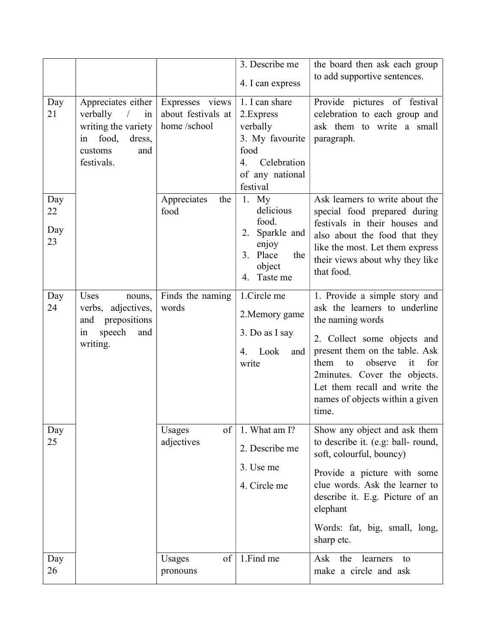|                        |                                                                                                                                    |                                                      | 3. Describe me                                                                                                          | the board then ask each group<br>to add supportive sentences.                                                                                                                                                                                                                                          |
|------------------------|------------------------------------------------------------------------------------------------------------------------------------|------------------------------------------------------|-------------------------------------------------------------------------------------------------------------------------|--------------------------------------------------------------------------------------------------------------------------------------------------------------------------------------------------------------------------------------------------------------------------------------------------------|
|                        |                                                                                                                                    |                                                      | 4. I can express                                                                                                        |                                                                                                                                                                                                                                                                                                        |
| Day<br>21              | Appreciates either<br>verbally<br>$\sqrt{2}$<br>in<br>writing the variety<br>food,<br>dress,<br>in<br>customs<br>and<br>festivals. | Expresses views<br>about festivals at<br>home/school | 1. I can share<br>2. Express<br>verbally<br>3. My favourite<br>food<br>Celebration<br>4.<br>of any national<br>festival | Provide pictures of festival<br>celebration to each group and<br>ask them to write a small<br>paragraph.                                                                                                                                                                                               |
| Day<br>22<br>Day<br>23 |                                                                                                                                    | Appreciates<br>the<br>food                           | 1. $My$<br>delicious<br>food.<br>Sparkle and<br>2.<br>enjoy<br>3. Place<br>the<br>object<br>4. Taste me                 | Ask learners to write about the<br>special food prepared during<br>festivals in their houses and<br>also about the food that they<br>like the most. Let them express<br>their views about why they like<br>that food.                                                                                  |
| Day<br>24              | Uses<br>nouns,<br>verbs, adjectives,<br>prepositions<br>and<br>speech<br>and<br>in<br>writing.                                     | Finds the naming<br>words                            | 1.Circle me<br>2. Memory game<br>3. Do as I say<br>Look<br>4.<br>and<br>write                                           | 1. Provide a simple story and<br>ask the learners to underline<br>the naming words<br>2. Collect some objects and<br>present them on the table. Ask<br>for<br>observe<br>them<br>to<br>it<br>2minutes. Cover the objects.<br>Let them recall and write the<br>names of objects within a given<br>time. |
| Day<br>25              |                                                                                                                                    | of<br>Usages<br>adjectives                           | 1. What am I?<br>2. Describe me<br>3. Use me<br>4. Circle me                                                            | Show any object and ask them<br>to describe it. (e.g: ball-round,<br>soft, colourful, bouncy)<br>Provide a picture with some<br>clue words. Ask the learner to<br>describe it. E.g. Picture of an<br>elephant<br>Words: fat, big, small, long,<br>sharp etc.                                           |
| Day<br>26              |                                                                                                                                    | of<br>Usages<br>pronouns                             | 1.Find me                                                                                                               | Ask<br>the<br>learners<br>to<br>make a circle and ask                                                                                                                                                                                                                                                  |